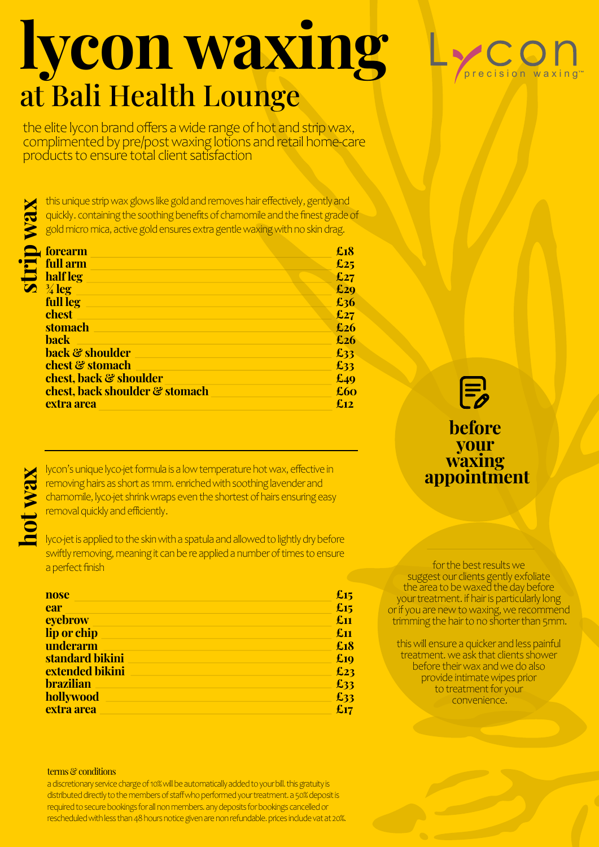## lycon waxing at Bali Health Lounge

the elite lycon brand offers a wide range of hot and strip wax, complimented by pre/post waxing lotions and retail home-care products to ensure total client satisfaction

strip wax this unique strip wax glows like gold and removes hair effectively, gently and quickly. containing the soothing benefits of chamomile and the finest grade of gold micro mica, active gold ensures extra gentle waxing with no skin drag.

| <b>forearm</b>                 | £18 |
|--------------------------------|-----|
| full arm                       | £25 |
| half leg                       | £27 |
| $\frac{3}{4}$ leg              | £29 |
| full leg                       | £36 |
| chest                          | £27 |
| stomach                        | £26 |
| <b>back</b>                    | £26 |
| <b>back &amp; shoulder</b>     | £33 |
| chest & stomach                | £33 |
| chest, back & shoulder         | £49 |
| chest, back shoulder & stomach | £60 |
| extra area                     | £12 |

Motion's unique lyco-jet formula is a low temperature hot wax, effective in<br>
removing hairs as short as 1mm. enriched with soothing lavender and<br>
chamomile, lyco-jet shrink wraps even the shortest of hairs ensuring easy<br>
r removing hairs as short as 1mm. enriched with soothing lavender and chamomile, lyco-jet shrink wraps even the shortest of hairs ensuring easy removal quickly and efficiently.

swiftly removing, meaning it can be re applied a number of times to ensure a perfect finish

| nose             | £15 |
|------------------|-----|
| ear              | £15 |
| eyebrow          | £11 |
| lip or chip      | £11 |
| underarm         | £18 |
| standard bikini  | £10 |
| extended bikini  | £23 |
| <b>brazilian</b> | £33 |
| hollywood        | £33 |
| extra area       | £17 |

#### terms & conditions

a discretionary service charge of 10% will be automatically added to your bill. this gratuity is distributed directly to the members of staff who performed your treatment. a 50% deposit is required to secure bookings for all non members. any deposits for bookings cancelled or rescheduled with less than 48 hours notice given are non refundable. prices include vat at 20%.

### $p$  r e c i s i o n w a x i n g<sup>th</sup>



### before **your**<br>**waxing** appointment

for the best results we suggest our clients gently exfoliate the area to be waxed the day before your treatment. if hair is particularly long or if you are new to waxing, we recommend trimming the hair to no shorter than 5mm.

this will ensure a quicker and less painful treatment. we ask that clients shower before their wax and we do also provide intimate wipes prior to treatment for your convenience.